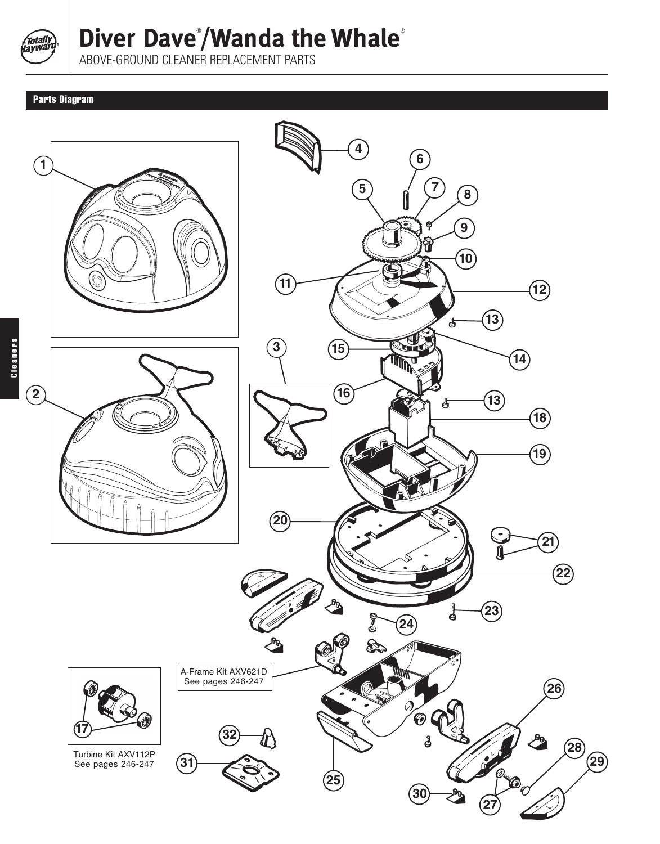

## **Diver Dave**® **/Wanda the Whale**®

ABOVE-GROUND CLEANER REPLACEMENT PARTS

## Parts Diagram